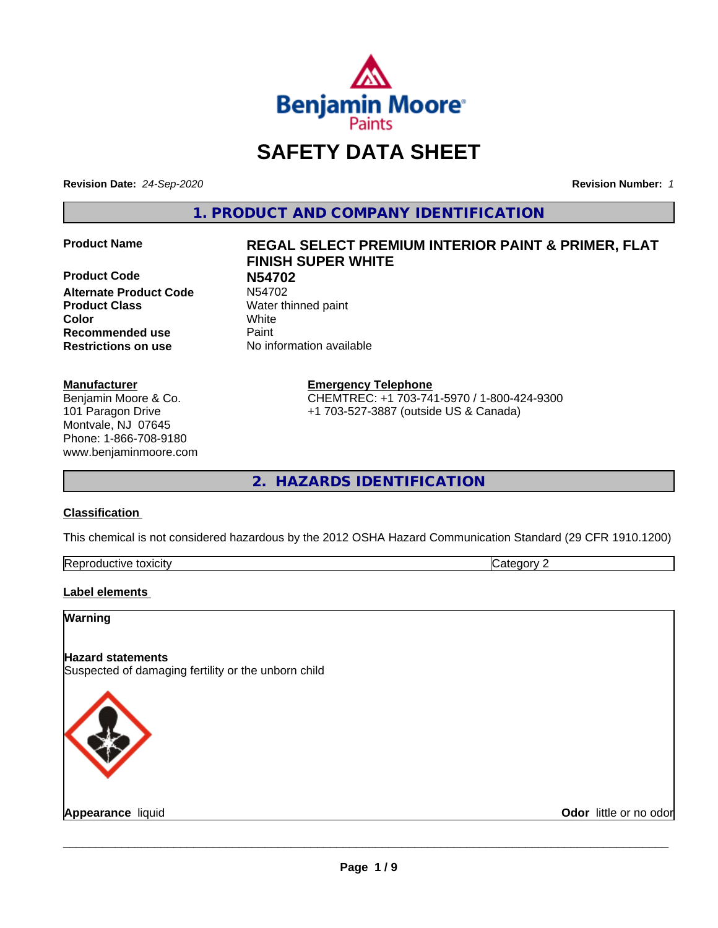

## **SAFETY DATA SHEET**

**Revision Date:** *24-Sep-2020* **Revision Number:** *1*

**1. PRODUCT AND COMPANY IDENTIFICATION**

**Product Code N54702 Alternate Product Code Product Class** Water thinned paint **Color** White **Recommended use Caint Restrictions on use** No information available

#### **Manufacturer**

Benjamin Moore & Co. 101 Paragon Drive Montvale, NJ 07645 Phone: 1-866-708-9180 www.benjaminmoore.com

## **Product Name REGAL SELECT PREMIUM INTERIOR PAINT & PRIMER, FLAT FINISH SUPER WHITE**

**Emergency Telephone**

CHEMTREC: +1 703-741-5970 / 1-800-424-9300 +1 703-527-3887 (outside US & Canada)

**2. HAZARDS IDENTIFICATION**

#### **Classification**

This chemical is not considered hazardous by the 2012 OSHA Hazard Communication Standard (29 CFR 1910.1200)

| toxicity<br>Repr.<br>oductive | ĸ<br>-- - --<br>.ат<br>λr<br>51 J L |
|-------------------------------|-------------------------------------|

#### **Label elements**

#### **Warning**

#### **Hazard statements**

Suspected of damaging fertility or the unborn child



**Appearance** liquid **Contract Contract Contract Contract Contract Contract Contract Contract Contract Contract Contract Contract Contract Contract Contract Contract Contract Contract Contract Contract Contract Contract Con**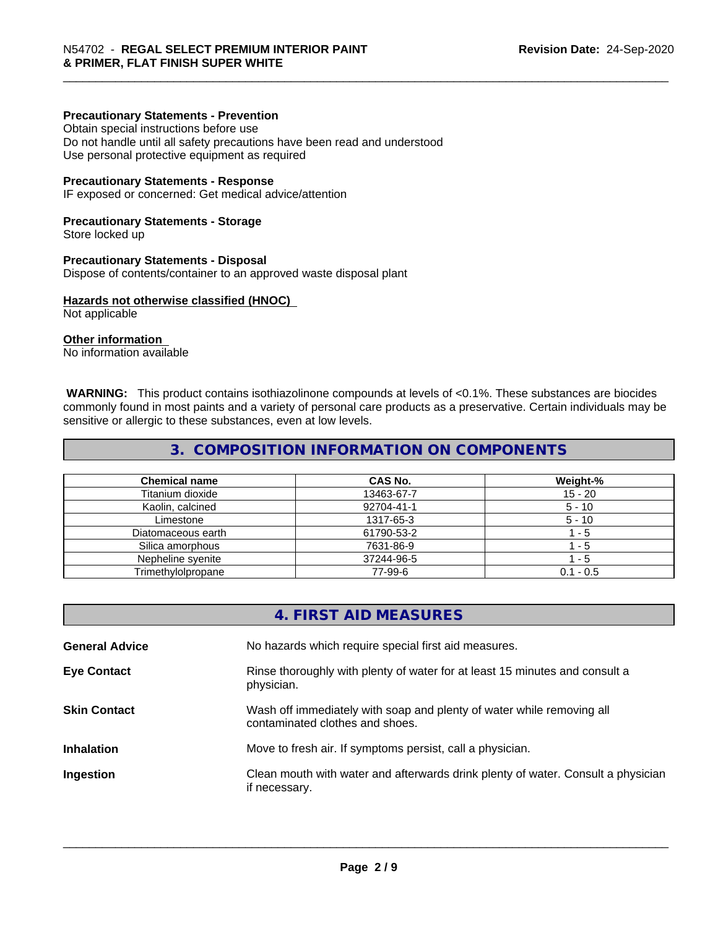#### **Precautionary Statements - Prevention**

Obtain special instructions before use Do not handle until all safety precautions have been read and understood Use personal protective equipment as required

#### **Precautionary Statements - Response**

IF exposed or concerned: Get medical advice/attention

#### **Precautionary Statements - Storage**

Store locked up

#### **Precautionary Statements - Disposal**

Dispose of contents/container to an approved waste disposal plant

#### **Hazards not otherwise classified (HNOC)**

Not applicable

#### **Other information**

No information available

 **WARNING:** This product contains isothiazolinone compounds at levels of <0.1%. These substances are biocides commonly found in most paints and a variety of personal care products as a preservative. Certain individuals may be sensitive or allergic to these substances, even at low levels.

#### **3. COMPOSITION INFORMATION ON COMPONENTS**

| <b>Chemical name</b> | CAS No.    | Weight-%    |
|----------------------|------------|-------------|
| Titanium dioxide     | 13463-67-7 | 15 - 20     |
| Kaolin, calcined     | 92704-41-1 | $5 - 10$    |
| Limestone            | 1317-65-3  | $5 - 10$    |
| Diatomaceous earth   | 61790-53-2 | - 5         |
| Silica amorphous     | 7631-86-9  | - 5         |
| Nepheline syenite    | 37244-96-5 | - 5         |
| Trimethylolpropane   | 77-99-6    | $0.1 - 0.5$ |

|                       | 4. FIRST AID MEASURES                                                                                    |
|-----------------------|----------------------------------------------------------------------------------------------------------|
| <b>General Advice</b> | No hazards which require special first aid measures.                                                     |
| <b>Eye Contact</b>    | Rinse thoroughly with plenty of water for at least 15 minutes and consult a<br>physician.                |
| <b>Skin Contact</b>   | Wash off immediately with soap and plenty of water while removing all<br>contaminated clothes and shoes. |
| <b>Inhalation</b>     | Move to fresh air. If symptoms persist, call a physician.                                                |
| Ingestion             | Clean mouth with water and afterwards drink plenty of water. Consult a physician<br>if necessary.        |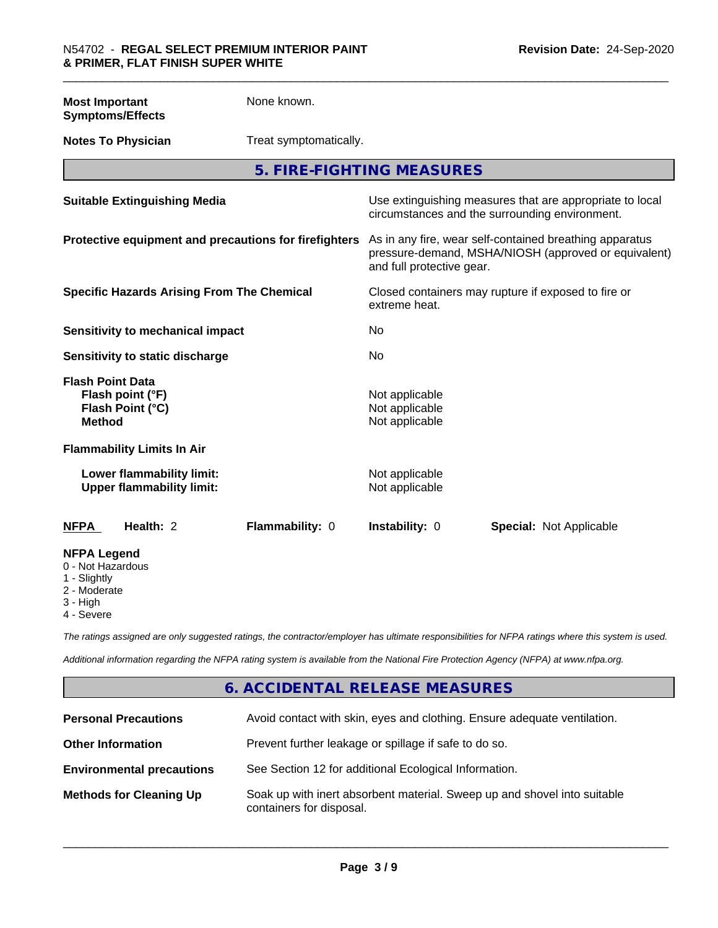**Most Important Symptoms/Effects**

None known.

**Notes To Physician** Treat symptomatically.

**5. FIRE-FIGHTING MEASURES**

| <b>Suitable Extinguishing Media</b>                                              | Use extinguishing measures that are appropriate to local<br>circumstances and the surrounding environment.                                   |
|----------------------------------------------------------------------------------|----------------------------------------------------------------------------------------------------------------------------------------------|
| Protective equipment and precautions for firefighters                            | As in any fire, wear self-contained breathing apparatus<br>pressure-demand, MSHA/NIOSH (approved or equivalent)<br>and full protective gear. |
| <b>Specific Hazards Arising From The Chemical</b>                                | Closed containers may rupture if exposed to fire or<br>extreme heat.                                                                         |
| Sensitivity to mechanical impact                                                 | No                                                                                                                                           |
| Sensitivity to static discharge                                                  | No                                                                                                                                           |
| <b>Flash Point Data</b><br>Flash point (°F)<br>Flash Point (°C)<br><b>Method</b> | Not applicable<br>Not applicable<br>Not applicable                                                                                           |
| <b>Flammability Limits In Air</b>                                                |                                                                                                                                              |
| Lower flammability limit:<br><b>Upper flammability limit:</b>                    | Not applicable<br>Not applicable                                                                                                             |
| Health: 2<br>Flammability: 0<br>NFPA                                             | <b>Instability: 0</b><br><b>Special: Not Applicable</b>                                                                                      |
| <b>NFPA Legend</b><br>0 - Not Hazardous<br>1 - Slightly                          |                                                                                                                                              |

2 - Moderate

3 - High

4 - Severe

*The ratings assigned are only suggested ratings, the contractor/employer has ultimate responsibilities for NFPA ratings where this system is used.*

*Additional information regarding the NFPA rating system is available from the National Fire Protection Agency (NFPA) at www.nfpa.org.*

### **6. ACCIDENTAL RELEASE MEASURES**

| <b>Personal Precautions</b>      | Avoid contact with skin, eyes and clothing. Ensure adequate ventilation.                             |
|----------------------------------|------------------------------------------------------------------------------------------------------|
| <b>Other Information</b>         | Prevent further leakage or spillage if safe to do so.                                                |
| <b>Environmental precautions</b> | See Section 12 for additional Ecological Information.                                                |
| <b>Methods for Cleaning Up</b>   | Soak up with inert absorbent material. Sweep up and shovel into suitable<br>containers for disposal. |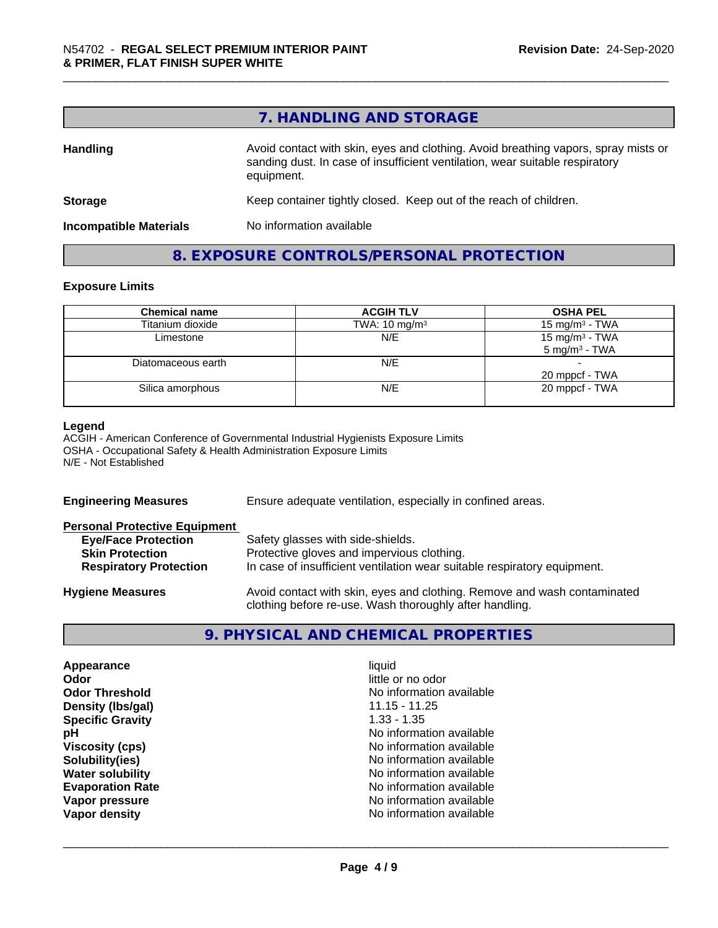|                               | 7. HANDLING AND STORAGE                                                                                                                                                          |
|-------------------------------|----------------------------------------------------------------------------------------------------------------------------------------------------------------------------------|
| <b>Handling</b>               | Avoid contact with skin, eyes and clothing. Avoid breathing vapors, spray mists or<br>sanding dust. In case of insufficient ventilation, wear suitable respiratory<br>equipment. |
| <b>Storage</b>                | Keep container tightly closed. Keep out of the reach of children.                                                                                                                |
| <b>Incompatible Materials</b> | No information available                                                                                                                                                         |

### **8. EXPOSURE CONTROLS/PERSONAL PROTECTION**

#### **Exposure Limits**

| <b>Chemical name</b> | <b>ACGIH TLV</b>         | <b>OSHA PEL</b>                               |
|----------------------|--------------------------|-----------------------------------------------|
| Titanium dioxide     | TWA: $10 \text{ mg/m}^3$ | 15 mg/m <sup>3</sup> - TWA                    |
| Limestone            | N/E                      | 15 mg/m $3$ - TWA<br>$5 \text{ mg/m}^3$ - TWA |
| Diatomaceous earth   | N/E                      | 20 mppcf - TWA                                |
| Silica amorphous     | N/E                      | 20 mppcf - TWA                                |

#### **Legend**

ACGIH - American Conference of Governmental Industrial Hygienists Exposure Limits OSHA - Occupational Safety & Health Administration Exposure Limits N/E - Not Established

| <b>Engineering Measures</b>          | Ensure adequate ventilation, especially in confined areas.                                                                          |  |
|--------------------------------------|-------------------------------------------------------------------------------------------------------------------------------------|--|
| <b>Personal Protective Equipment</b> |                                                                                                                                     |  |
| <b>Eye/Face Protection</b>           | Safety glasses with side-shields.                                                                                                   |  |
| <b>Skin Protection</b>               | Protective gloves and impervious clothing.                                                                                          |  |
| <b>Respiratory Protection</b>        | In case of insufficient ventilation wear suitable respiratory equipment.                                                            |  |
| <b>Hygiene Measures</b>              | Avoid contact with skin, eyes and clothing. Remove and wash contaminated<br>clothing before re-use. Wash thoroughly after handling. |  |

### **9. PHYSICAL AND CHEMICAL PROPERTIES**

| Appearance              | liquid                   |
|-------------------------|--------------------------|
| Odor                    | little or no odor        |
| <b>Odor Threshold</b>   | No information available |
| Density (Ibs/gal)       | $11.15 - 11.25$          |
| <b>Specific Gravity</b> | $1.33 - 1.35$            |
| рH                      | No information available |
| <b>Viscosity (cps)</b>  | No information available |
| Solubility(ies)         | No information available |
| <b>Water solubility</b> | No information available |
| <b>Evaporation Rate</b> | No information available |
| Vapor pressure          | No information available |
| Vapor density           | No information available |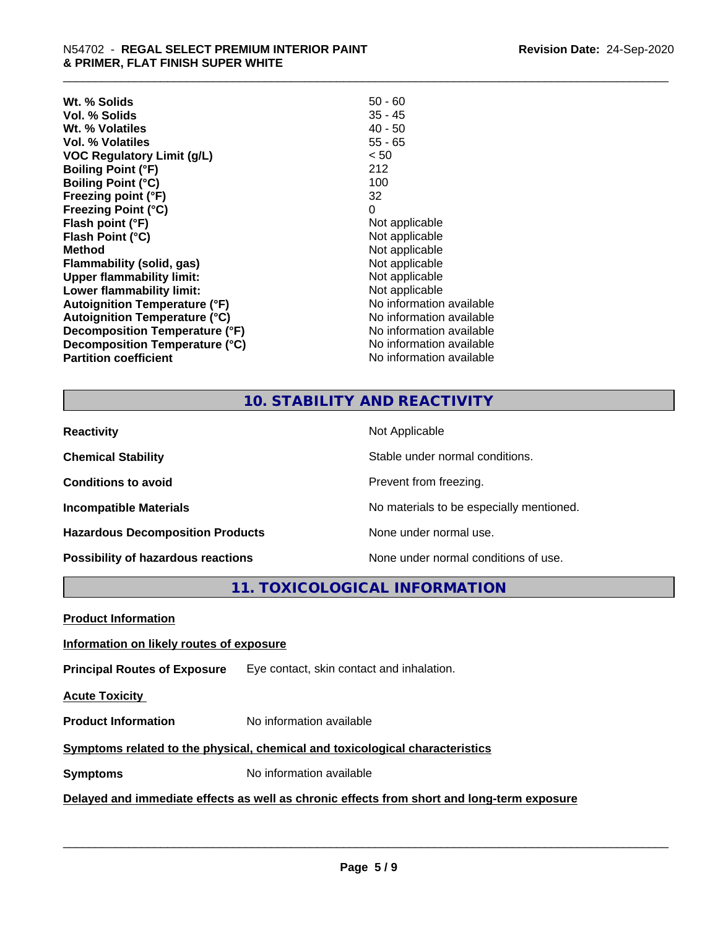| Wt. % Solids                         | $50 - 60$                |
|--------------------------------------|--------------------------|
| Vol. % Solids                        | $35 - 45$                |
| Wt. % Volatiles                      | $40 - 50$                |
| Vol. % Volatiles                     | $55 - 65$                |
| <b>VOC Regulatory Limit (g/L)</b>    | < 50                     |
| <b>Boiling Point (°F)</b>            | 212                      |
| <b>Boiling Point (°C)</b>            | 100                      |
| Freezing point (°F)                  | 32                       |
| <b>Freezing Point (°C)</b>           | 0                        |
| Flash point (°F)                     | Not applicable           |
| Flash Point (°C)                     | Not applicable           |
| <b>Method</b>                        | Not applicable           |
| Flammability (solid, gas)            | Not applicable           |
| <b>Upper flammability limit:</b>     | Not applicable           |
| Lower flammability limit:            | Not applicable           |
| <b>Autoignition Temperature (°F)</b> | No information available |
| <b>Autoignition Temperature (°C)</b> | No information available |
| Decomposition Temperature (°F)       | No information available |
| Decomposition Temperature (°C)       | No information available |
| <b>Partition coefficient</b>         | No information available |

#### **10. STABILITY AND REACTIVITY**

| <b>Reactivity</b>                       | Not Applicable                           |
|-----------------------------------------|------------------------------------------|
| <b>Chemical Stability</b>               | Stable under normal conditions.          |
| <b>Conditions to avoid</b>              | Prevent from freezing.                   |
| <b>Incompatible Materials</b>           | No materials to be especially mentioned. |
| <b>Hazardous Decomposition Products</b> | None under normal use.                   |
| Possibility of hazardous reactions      | None under normal conditions of use.     |

**11. TOXICOLOGICAL INFORMATION**

**Product Information**

#### **Information on likely routes of exposure**

**Principal Routes of Exposure** Eye contact, skin contact and inhalation.

**Acute Toxicity** 

**Product Information** No information available

#### **Symptoms** related to the physical, chemical and toxicological characteristics

**Symptoms** No information available

#### **Delayed and immediate effects as well as chronic effects from short and long-term exposure**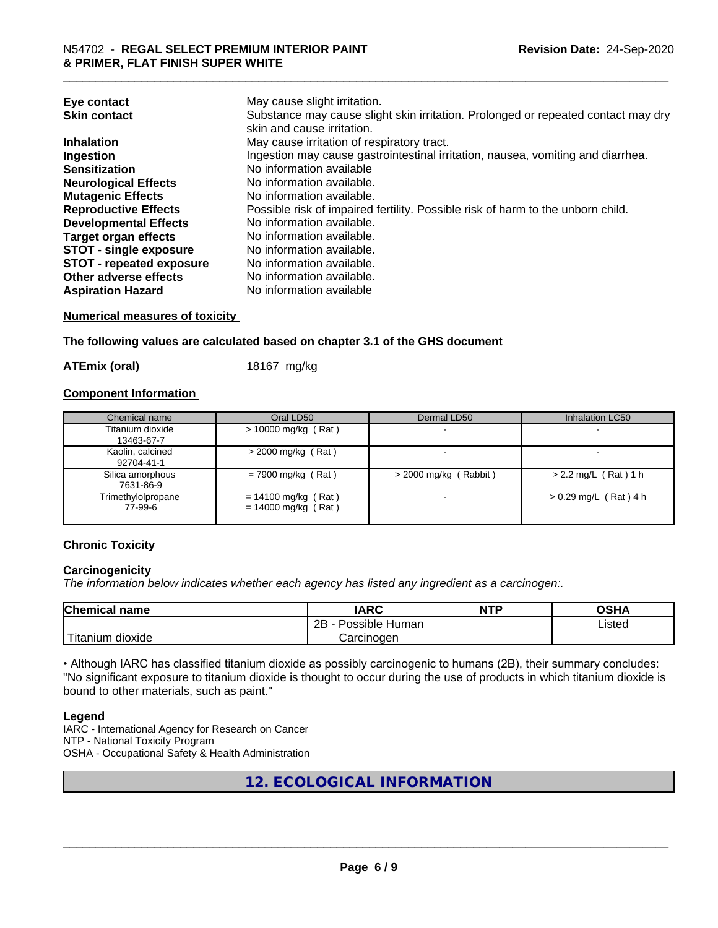| Eye contact<br><b>Skin contact</b> | May cause slight irritation.<br>Substance may cause slight skin irritation. Prolonged or repeated contact may dry<br>skin and cause irritation. |
|------------------------------------|-------------------------------------------------------------------------------------------------------------------------------------------------|
| <b>Inhalation</b>                  | May cause irritation of respiratory tract.                                                                                                      |
| Ingestion                          | Ingestion may cause gastrointestinal irritation, nausea, vomiting and diarrhea.                                                                 |
| <b>Sensitization</b>               | No information available                                                                                                                        |
| <b>Neurological Effects</b>        | No information available.                                                                                                                       |
| <b>Mutagenic Effects</b>           | No information available.                                                                                                                       |
| <b>Reproductive Effects</b>        | Possible risk of impaired fertility. Possible risk of harm to the unborn child.                                                                 |
| <b>Developmental Effects</b>       | No information available.                                                                                                                       |
| <b>Target organ effects</b>        | No information available.                                                                                                                       |
| <b>STOT - single exposure</b>      | No information available.                                                                                                                       |
| <b>STOT - repeated exposure</b>    | No information available.                                                                                                                       |
| Other adverse effects              | No information available.                                                                                                                       |
| <b>Aspiration Hazard</b>           | No information available                                                                                                                        |

#### **Numerical measures of toxicity**

**The following values are calculated based on chapter 3.1 of the GHS document**

**ATEmix (oral)** 18167 mg/kg

#### **Component Information**

| Chemical name                  | Oral LD50                                      | Dermal LD50             | Inhalation LC50         |
|--------------------------------|------------------------------------------------|-------------------------|-------------------------|
| Titanium dioxide<br>13463-67-7 | $> 10000$ mg/kg (Rat)                          |                         |                         |
| Kaolin, calcined<br>92704-41-1 | $>$ 2000 mg/kg (Rat)                           |                         |                         |
| Silica amorphous<br>7631-86-9  | $= 7900$ mg/kg (Rat)                           | $>$ 2000 mg/kg (Rabbit) | $> 2.2$ mg/L (Rat) 1 h  |
| Trimethylolpropane<br>77-99-6  | $= 14100$ mg/kg (Rat)<br>$= 14000$ mg/kg (Rat) |                         | $> 0.29$ mg/L (Rat) 4 h |

#### **Chronic Toxicity**

#### **Carcinogenicity**

*The information below indicateswhether each agency has listed any ingredient as a carcinogen:.*

| <b>Chemical</b><br>name            | <b>IARC</b>                                | <b>NTP</b> | ດເ⊔າ<br>∪אח |
|------------------------------------|--------------------------------------------|------------|-------------|
|                                    | .<br>クロ<br>Human<br>Possible<br><u>_ _</u> |            | ∟isted      |
| .<br><br>dioxide<br><b>itanium</b> | Carcinogen                                 |            |             |

• Although IARC has classified titanium dioxide as possibly carcinogenic to humans (2B), their summary concludes: "No significant exposure to titanium dioxide is thought to occur during the use of products in which titanium dioxide is bound to other materials, such as paint."

#### **Legend**

IARC - International Agency for Research on Cancer NTP - National Toxicity Program OSHA - Occupational Safety & Health Administration

**12. ECOLOGICAL INFORMATION**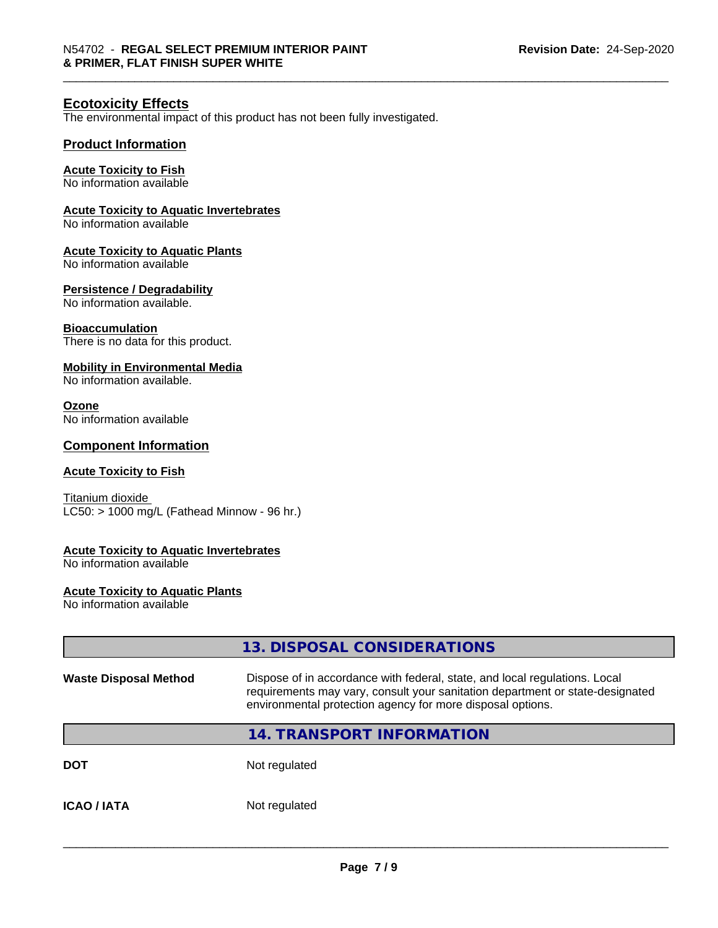#### **Ecotoxicity Effects**

The environmental impact of this product has not been fully investigated.

#### **Product Information**

#### **Acute Toxicity to Fish**

No information available

#### **Acute Toxicity to Aquatic Invertebrates**

No information available

#### **Acute Toxicity to Aquatic Plants**

No information available

#### **Persistence / Degradability**

No information available.

#### **Bioaccumulation**

There is no data for this product.

#### **Mobility in Environmental Media**

No information available.

#### **Ozone**

No information available

#### **Component Information**

#### **Acute Toxicity to Fish**

Titanium dioxide  $LC50:$  > 1000 mg/L (Fathead Minnow - 96 hr.)

#### **Acute Toxicity to Aquatic Invertebrates**

No information available

#### **Acute Toxicity to Aquatic Plants**

No information available

|                              | 13. DISPOSAL CONSIDERATIONS                                                                                                                                                                                               |  |
|------------------------------|---------------------------------------------------------------------------------------------------------------------------------------------------------------------------------------------------------------------------|--|
| <b>Waste Disposal Method</b> | Dispose of in accordance with federal, state, and local regulations. Local<br>requirements may vary, consult your sanitation department or state-designated<br>environmental protection agency for more disposal options. |  |
|                              | <b>14. TRANSPORT INFORMATION</b>                                                                                                                                                                                          |  |
| <b>DOT</b>                   | Not regulated                                                                                                                                                                                                             |  |
| <b>ICAO/IATA</b>             | Not regulated                                                                                                                                                                                                             |  |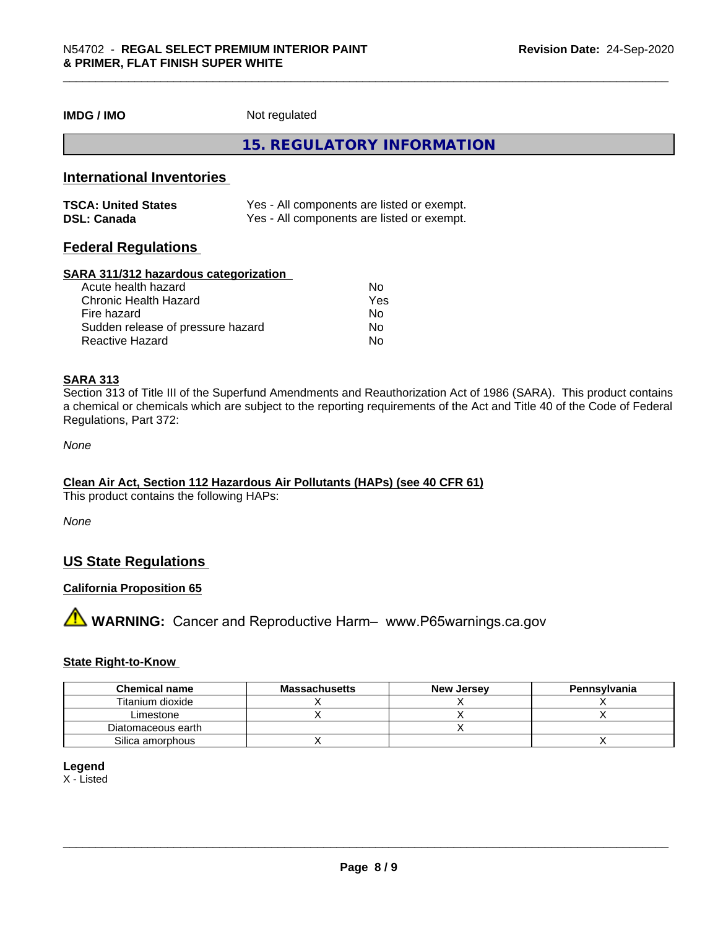**IMDG / IMO** Not regulated

**15. REGULATORY INFORMATION**

#### **International Inventories**

| <b>TSCA: United States</b> | Yes - All components are listed or exempt. |
|----------------------------|--------------------------------------------|
| <b>DSL: Canada</b>         | Yes - All components are listed or exempt. |

#### **Federal Regulations**

#### **SARA 311/312 hazardous categorization**

| Acute health hazard               | No  |  |
|-----------------------------------|-----|--|
| Chronic Health Hazard             | Yes |  |
| Fire hazard                       | No  |  |
| Sudden release of pressure hazard | Nο  |  |
| Reactive Hazard                   | Nο  |  |

#### **SARA 313**

Section 313 of Title III of the Superfund Amendments and Reauthorization Act of 1986 (SARA). This product contains a chemical or chemicals which are subject to the reporting requirements of the Act and Title 40 of the Code of Federal Regulations, Part 372:

*None*

#### **Clean Air Act,Section 112 Hazardous Air Pollutants (HAPs) (see 40 CFR 61)**

This product contains the following HAPs:

*None*

#### **US State Regulations**

#### **California Proposition 65**

**A** WARNING: Cancer and Reproductive Harm– www.P65warnings.ca.gov

#### **State Right-to-Know**

| <b>Chemical name</b> | <b>Massachusetts</b> | <b>New Jersey</b> | Pennsylvania |
|----------------------|----------------------|-------------------|--------------|
| Titanium dioxide     |                      |                   |              |
| Limestone            |                      |                   |              |
| Diatomaceous earth   |                      |                   |              |
| Silica amorphous     |                      |                   |              |

#### **Legend**

X - Listed